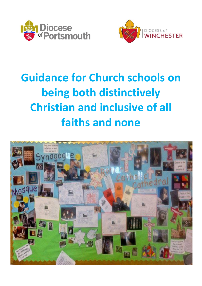



# **Guidance for Church schools on being both distinctively Christian and inclusive of all faiths and none**

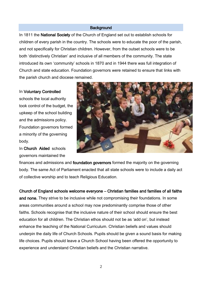### **Background**

In 1811 the National Society of the Church of England set out to establish schools for children of every parish in the country. The schools were to educate the poor of the parish, and not specifically for Christian children. However, from the outset schools were to be both 'distinctively Christian' and inclusive of all members of the community. The state introduced its own 'community' schools in 1870 and in 1944 there was full integration of Church and state education. Foundation governors were retained to ensure that links with the parish church and diocese remained.

#### In Voluntary Controlled

schools the local authority took control of the budget, the upkeep of the school building and the admissions policy. Foundation governors formed a minority of the governing body.

In Church Aided schools governors maintained the



finances and admissions and foundation governors formed the majority on the governing body. The same Act of Parliament enacted that all state schools were to include a daily act of collective worship and to teach Religious Education.

Church of England schools welcome everyone – Christian families and families of all faiths and none. They strive to be inclusive while not compromising their foundations. In some areas communities around a school may now predominantly comprise those of other faiths. Schools recognise that the inclusive nature of their school should ensure the best education for all children. The Christian ethos should not be as 'add on', but instead enhance the teaching of the National Curriculum. Christian beliefs and values should underpin the daily life of Church Schools. Pupils should be given a sound basis for making life choices. Pupils should leave a Church School having been offered the opportunity to experience and understand Christian beliefs and the Christian narrative.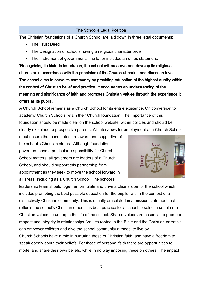## The School's Legal Position

The Christian foundations of a Church School are laid down in three legal documents:

- The Trust Deed
- The Designation of schools having a religious character order
- The instrument of government. The latter includes an ethos statement:

'Recognising its historic foundation, the school will preserve and develop its religious character in accordance with the principles of the Church at parish and diocesan level. The school aims to serve its community by providing education of the highest quality within the context of Christian belief and practice. It encourages an understanding of the meaning and significance of faith and promotes Christian values through the experience it offers all its pupils.'

A Church School remains as a Church School for its entire existence. On conversion to academy Church Schools retain their Church foundation. The importance of this foundation should be made clear on the school website, within policies and should be clearly explained to prospective parents. All interviews for employment at a Church School

must ensure that candidates are aware and supportive of the school's Christian status . Although foundation governors have a particular responsibility for Church School matters, all governors are leaders of a Church School, and should support this partnership from appointment as they seek to move the school forward in all areas, including as a Church School. The school's



leadership team should together formulate and drive a clear vision for the school which includes promoting the best possible education for the pupils, within the context of a distinctively Christian community. This is usually articulated in a mission statement that reflects the school's Christian ethos. It is best practice for a school to select a set of core Christian values to underpin the life of the school. Shared values are essential to promote respect and integrity in relationships. Values rooted in the Bible and the Christian narrative can empower children and give the school community a model to live by.

Church Schools have a role in nurturing those of Christian faith, and have a freedom to speak openly about their beliefs. For those of personal faith there are opportunities to model and share their own beliefs, while in no way imposing these on others. The impact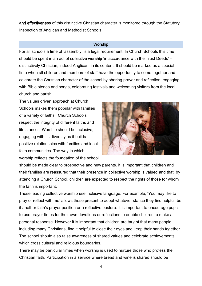and effectiveness of this distinctive Christian character is monitored through the Statutory Inspection of Anglican and Methodist Schools.

#### **Worship**

For all schools a time of 'assembly' is a legal requirement. In Church Schools this time should be spent in an act of **collective worship** 'in accordance with the Trust Deeds' – distinctively Christian, indeed Anglican, in its content. It should be marked as a special time when all children and members of staff have the opportunity to come together and celebrate the Christian character of the school by sharing prayer and reflection, engaging with Bible stories and songs, celebrating festivals and welcoming visitors from the local church and parish.

The values driven approach at Church Schools makes them popular with families of a variety of faiths. Church Schools respect the integrity of different faiths and life stances. Worship should be inclusive, engaging with its diversity as it builds positive relationships with families and local faith communities. The way in which worship reflects the foundation of the school



should be made clear to prospective and new parents. It is important that children and their families are reassured that their presence in collective worship is valued and that, by attending a Church School, children are expected to respect the rights of those for whom the faith is important.

Those leading collective worship use inclusive language. For example, 'You may like to pray or reflect with me' allows those present to adopt whatever stance they find helpful, be it another faith's prayer position or a reflective posture. It is important to encourage pupils to use prayer times for their own devotions or reflections to enable children to make a personal response. However it is important that children are taught that many people, including many Christians, find it helpful to close their eyes and keep their hands together. The school should also raise awareness of shared values and celebrate achievements which cross cultural and religious boundaries.

There may be particular times when worship is used to nurture those who profess the Christian faith. Participation in a service where bread and wine is shared should be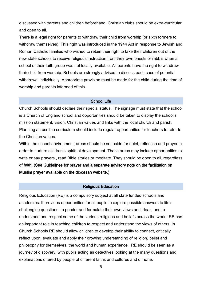discussed with parents and children beforehand. Christian clubs should be extra-curricular and open to all.

There is a legal right for parents to withdraw their child from worship (or sixth formers to withdraw themselves). This right was introduced in the 1944 Act in response to Jewish and Roman Catholic families who wished to retain their right to take their children out of the new state schools to receive religious instruction from their own priests or rabbis when a school of their faith group was not locally available. All parents have the right to withdraw their child from worship. Schools are strongly advised to discuss each case of potential withdrawal individually. Appropriate provision must be made for the child during the time of worship and parents informed of this.

#### School Life

Church Schools should declare their special status. The signage must state that the school is a Church of England school and opportunities should be taken to display the school's mission statement, vision, Christian values and links with the local church and parish. Planning across the curriculum should include regular opportunities for teachers to refer to the Christian values.

Within the school environment, areas should be set aside for quiet, reflection and prayer in order to nurture children's spiritual development. These areas may include opportunities to write or say prayers , read Bible stories or meditate. They should be open to all, regardless of faith. (See Guidelines for prayer and a separate advisory note on the facilitation on Muslim prayer available on the diocesan website.)

#### Religious Education

Religious Education (RE) is a compulsory subject at all state funded schools and academies. It provides opportunities for all pupils to explore possible answers to life's challenging questions, to ponder and formulate their own views and ideas, and to understand and respect some of the various religions and beliefs across the world. RE has an important role in teaching children to respect and understand the views of others. In Church Schools RE should allow children to develop their ability to connect, critically reflect upon, evaluate and apply their growing understanding of religion, belief and philosophy for themselves, the world and human experience. RE should be seen as a journey of discovery, with pupils acting as detectives looking at the many questions and explanations offered by people of different faiths and cultures and of none.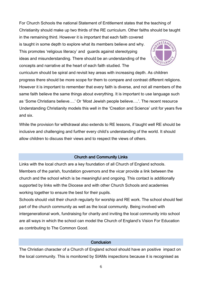For Church Schools the national Statement of Entitlement states that the teaching of Christianity should make up two thirds of the RE curriculum. Other faiths should be taught

in the remaining third. However it is important that each faith covered is taught in some depth to explore what its members believe and why. This promotes 'religious literacy' and guards against stereotyping ideas and misunderstanding. There should be an understanding of the concepts and narrative at the heart of each faith studied. The



curriculum should be spiral and revisit key areas with increasing depth. As children progress there should be more scope for them to compare and contrast different religions. However it is important to remember that every faith is diverse, and not all members of the same faith believe the same things about everything. It is important to use language such as 'Some Christians believe….' Or 'Most Jewish people believe….'. The recent resource Understanding Christianity models this well in the 'Creation and Science' unit for years five and six.

While the provision for withdrawal also extends to RE lessons, if taught well RE should be inclusive and challenging and further every child's understanding of the world. It should allow children to discuss their views and to respect the views of others.

## Church and Community Links

Links with the local church are a key foundation of all Church of England schools. Members of the parish, foundation governors and the vicar provide a link between the church and the school which is be meaningful and ongoing. This contact is additionally supported by links with the Diocese and with other Church Schools and academies working together to ensure the best for their pupils.

Schools should visit their church regularly for worship and RE work. The school should feel part of the church community as well as the local community. Being involved with intergenerational work, fundraising for charity and inviting the local community into school are all ways in which the school can model the Church of England's Vision For Education as contributing to The Common Good.

## Conclusion

The Christian character of a Church of England school should have an positive impact on the local community. This is monitored by SIAMs inspections because it is recognised as